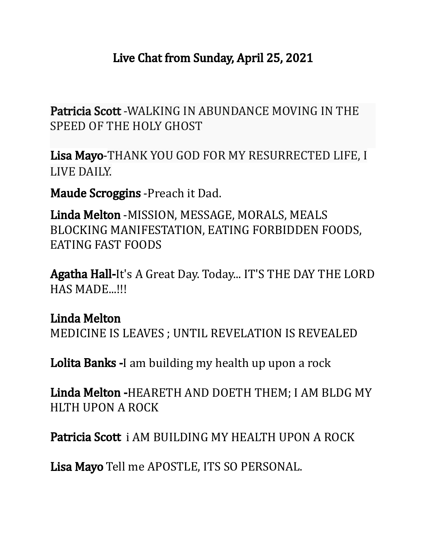## Live Chat from Sunday, April 25, 2021

Patricia Scott -WALKING IN ABUNDANCE MOVING IN THE SPEED OF THE HOLY GHOST

Lisa Mayo-THANK YOU GOD FOR MY RESURRECTED LIFE, I LIVE DAILY.

Maude Scroggins -Preach it Dad.

Linda Melton -MISSION, MESSAGE, MORALS, MEALS BLOCKING MANIFESTATION, EATING FORBIDDEN FOODS, EATING FAST FOODS

Agatha Hall-It's A Great Day. Today... IT'S THE DAY THE LORD HAS MADE...!!!

Linda Melton MEDICINE IS LEAVES ; UNTIL REVELATION IS REVEALED

Lolita Banks -I am building my health up upon a rock

Linda Melton -HEARETH AND DOETH THEM; I AM BLDG MY HLTH UPON A ROCK

Patricia Scott i AM BUILDING MY HEALTH UPON A ROCK

Lisa Mayo Tell me APOSTLE, ITS SO PERSONAL.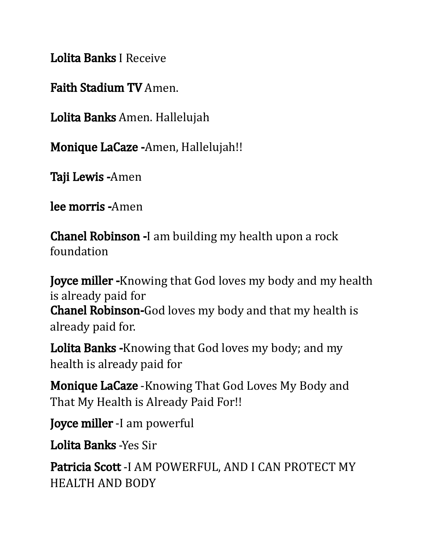Lolita Banks I Receive

Faith Stadium TV Amen.

Lolita Banks Amen. Hallelujah

Monique LaCaze - Amen, Hallelujah!!

Taji Lewis -Amen

lee morris -Amen

Chanel Robinson -I am building my health upon a rock foundation

**Joyce miller -**Knowing that God loves my body and my health is already paid for Chanel Robinson-God loves my body and that my health is already paid for.

Lolita Banks -Knowing that God loves my body; and my health is already paid for

Monique LaCaze -Knowing That God Loves My Body and That My Health is Already Paid For!!

Joyce miller -I am powerful

Lolita Banks -Yes Sir

Patricia Scott -I AM POWERFUL, AND I CAN PROTECT MY HEALTH AND BODY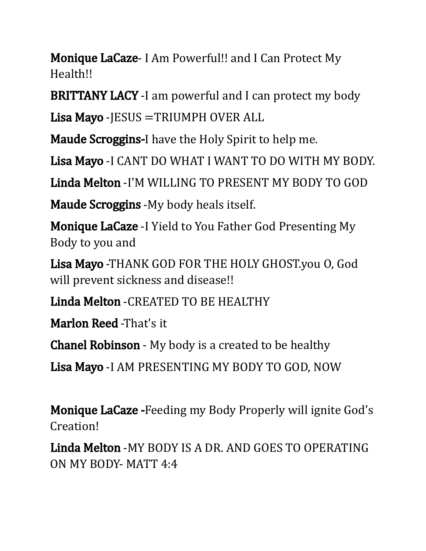**Monique LaCaze- I Am Powerful!! and I Can Protect My** Health!!

BRITTANY LACY -I am powerful and I can protect my body

Lisa Mayo - JESUS = TRIUMPH OVER ALL

Maude Scroggins-I have the Holy Spirit to help me.

Lisa Mayo -I CANT DO WHAT I WANT TO DO WITH MY BODY.

Linda Melton -I'M WILLING TO PRESENT MY BODY TO GOD

Maude Scroggins -My body heals itself.

**Monique LaCaze** -I Yield to You Father God Presenting My Body to you and

Lisa Mayo -THANK GOD FOR THE HOLY GHOST.you O, God will prevent sickness and disease!!

Linda Melton -CREATED TO BE HEALTHY

Marlon Reed -That's it

Chanel Robinson - My body is a created to be healthy

Lisa Mayo -I AM PRESENTING MY BODY TO GOD, NOW

Monique LaCaze -Feeding my Body Properly will ignite God's Creation!

Linda Melton -MY BODY IS A DR. AND GOES TO OPERATING ON MY BODY- MATT 4:4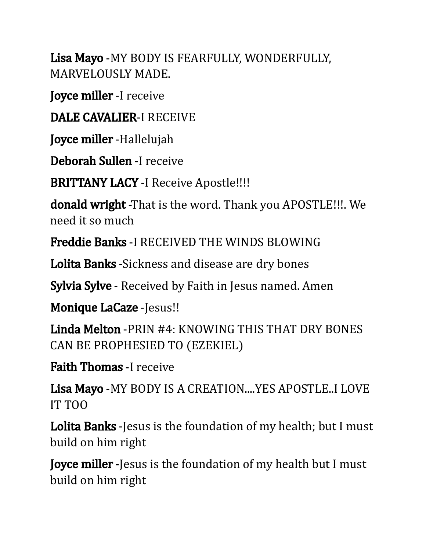Lisa Mayo -MY BODY IS FEARFULLY, WONDERFULLY, MARVELOUSLY MADE.

Joyce miller -I receive

DALE CAVALIER-I RECEIVE

Joyce miller - Hallelujah

Deborah Sullen -I receive

BRITTANY LACY -I Receive Apostle!!!!

donald wright -That is the word. Thank you APOSTLE!!!. We need it so much

Freddie Banks -I RECEIVED THE WINDS BLOWING

Lolita Banks - Sickness and disease are dry bones

**Sylvia Sylve** - Received by Faith in Jesus named. Amen

Monique LaCaze -Jesus!!

Linda Melton -PRIN #4: KNOWING THIS THAT DRY BONES CAN BE PROPHESIED TO (EZEKIEL)

Faith Thomas -I receive

Lisa Mayo -MY BODY IS A CREATION....YES APOSTLE..I LOVE IT TOO

Lolita Banks - Jesus is the foundation of my health; but I must build on him right

**Joyce miller** -Jesus is the foundation of my health but I must build on him right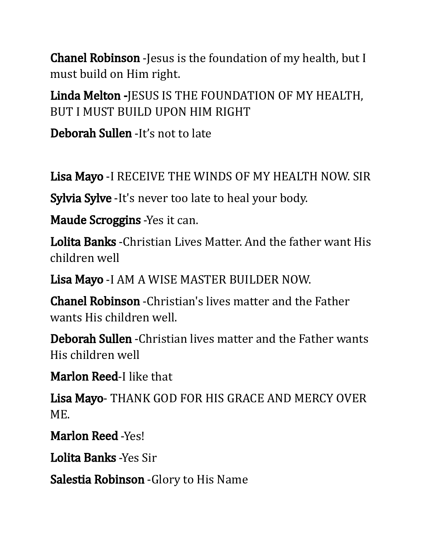**Chanel Robinson** -Jesus is the foundation of my health, but I must build on Him right.

Linda Melton -JESUS IS THE FOUNDATION OF MY HEALTH, BUT I MUST BUILD UPON HIM RIGHT

Deborah Sullen -It's not to late

Lisa Mayo -I RECEIVE THE WINDS OF MY HEALTH NOW. SIR

Sylvia Sylve -It's never too late to heal your body.

Maude Scroggins -Yes it can.

Lolita Banks -Christian Lives Matter. And the father want His children well

Lisa Mayo -I AM A WISE MASTER BUILDER NOW.

Chanel Robinson -Christian's lives matter and the Father wants His children well.

Deborah Sullen -Christian lives matter and the Father wants His children well

Marlon Reed-I like that

Lisa Mayo- THANK GOD FOR HIS GRACE AND MERCY OVER ME.

Marlon Reed -Yes!

Lolita Banks -Yes Sir

Salestia Robinson -Glory to His Name